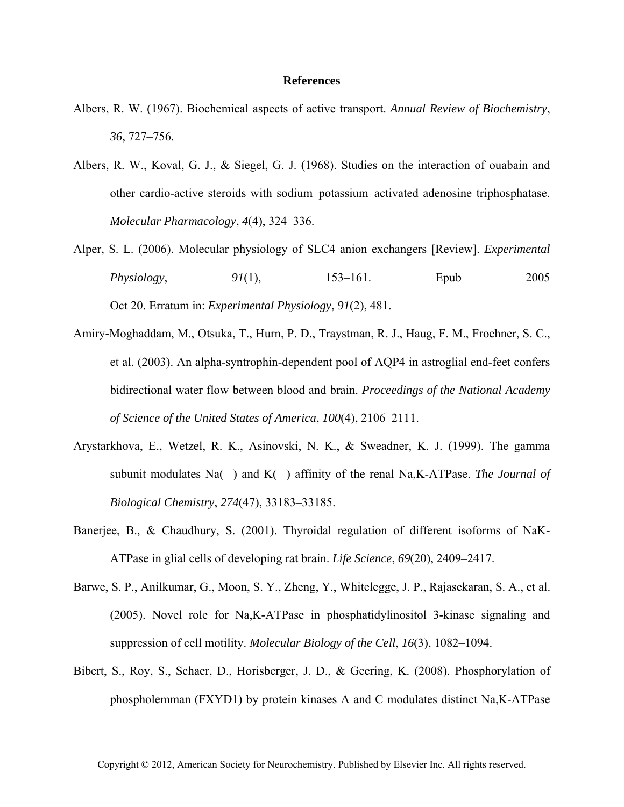## **References**

- Albers, R. W. (1967). Biochemical aspects of active transport. *Annual Review of Biochemistry*, *36*, 727–756.
- Albers, R. W., Koval, G. J., & Siegel, G. J. (1968). Studies on the interaction of ouabain and other cardio-active steroids with sodium–potassium–activated adenosine triphosphatase. *Molecular Pharmacology*, *4*(4), 324–336.
- Alper, S. L. (2006). Molecular physiology of SLC4 anion exchangers [Review]. *Experimental Physiology*, 91(1), 153–161. Epub 2005 Oct 20. Erratum in: *Experimental Physiology*, *91*(2), 481.
- Amiry-Moghaddam, M., Otsuka, T., Hurn, P. D., Traystman, R. J., Haug, F. M., Froehner, S. C., et al. (2003). An alpha-syntrophin-dependent pool of AQP4 in astroglial end-feet confers bidirectional water flow between blood and brain. *Proceedings of the National Academy of Science of the United States of America*, *100*(4), 2106–2111.
- Arystarkhova, E., Wetzel, R. K., Asinovski, N. K., & Sweadner, K. J. (1999). The gamma subunit modulates Na() and K() affinity of the renal Na,K-ATPase. *The Journal of Biological Chemistry*, *274*(47), 33183–33185.
- Banerjee, B., & Chaudhury, S. (2001). Thyroidal regulation of different isoforms of NaK-ATPase in glial cells of developing rat brain. *Life Science*, *69*(20), 2409–2417.
- Barwe, S. P., Anilkumar, G., Moon, S. Y., Zheng, Y., Whitelegge, J. P., Rajasekaran, S. A., et al. (2005). Novel role for Na,K-ATPase in phosphatidylinositol 3-kinase signaling and suppression of cell motility. *Molecular Biology of the Cell*, *16*(3), 1082–1094.
- Bibert, S., Roy, S., Schaer, D., Horisberger, J. D., & Geering, K. (2008). Phosphorylation of phospholemman (FXYD1) by protein kinases A and C modulates distinct Na,K-ATPase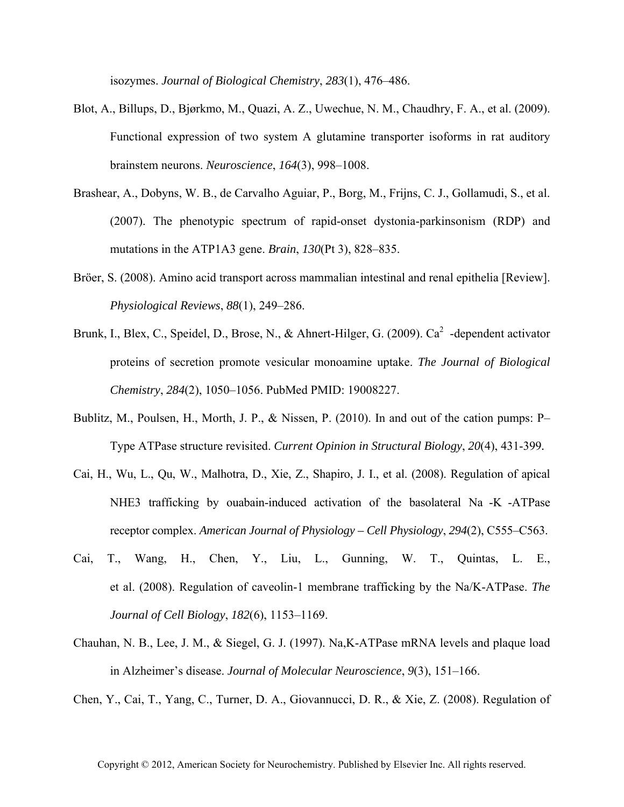isozymes. *Journal of Biological Chemistry*, *283*(1), 476–486.

- Blot, A., Billups, D., Bjørkmo, M., Quazi, A. Z., Uwechue, N. M., Chaudhry, F. A., et al. (2009). Functional expression of two system A glutamine transporter isoforms in rat auditory brainstem neurons. *Neuroscience*, *164*(3), 998–1008.
- Brashear, A., Dobyns, W. B., de Carvalho Aguiar, P., Borg, M., Frijns, C. J., Gollamudi, S., et al. (2007). The phenotypic spectrum of rapid-onset dystonia-parkinsonism (RDP) and mutations in the ATP1A3 gene. *Brain*, *130*(Pt 3), 828–835.
- Bröer, S. (2008). Amino acid transport across mammalian intestinal and renal epithelia [Review]. *Physiological Reviews*, *88*(1), 249–286.
- Brunk, I., Blex, C., Speidel, D., Brose, N., & Ahnert-Hilger, G. (2009). Ca<sup>2</sup>-dependent activator proteins of secretion promote vesicular monoamine uptake. *The Journal of Biological Chemistry*, *284*(2), 1050–1056. PubMed PMID: 19008227.
- Bublitz, M., Poulsen, H., Morth, J. P., & Nissen, P. (2010). In and out of the cation pumps: P– Type ATPase structure revisited. *Current Opinion in Structural Biology*, *20*(4), 431-399*.*
- Cai, H., Wu, L., Qu, W., Malhotra, D., Xie, Z., Shapiro, J. I., et al. (2008). Regulation of apical NHE3 trafficking by ouabain-induced activation of the basolateral Na -K -ATPase receptor complex. *American Journal of Physiology – Cell Physiology*, *294*(2), C555–C563.
- Cai, T., Wang, H., Chen, Y., Liu, L., Gunning, W. T., Quintas, L. E., et al. (2008). Regulation of caveolin-1 membrane trafficking by the Na/K-ATPase. *The Journal of Cell Biology*, *182*(6), 1153–1169.
- Chauhan, N. B., Lee, J. M., & Siegel, G. J. (1997). Na,K-ATPase mRNA levels and plaque load in Alzheimer's disease. *Journal of Molecular Neuroscience*, *9*(3), 151–166.

Chen, Y., Cai, T., Yang, C., Turner, D. A., Giovannucci, D. R., & Xie, Z. (2008). Regulation of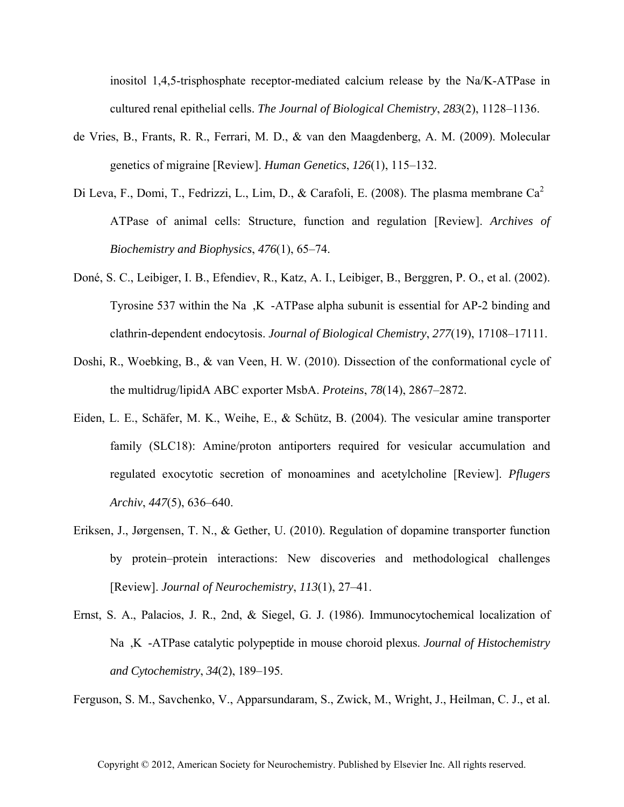inositol 1,4,5-trisphosphate receptor-mediated calcium release by the Na/K-ATPase in cultured renal epithelial cells. *The Journal of Biological Chemistry*, *283*(2), 1128–1136.

- de Vries, B., Frants, R. R., Ferrari, M. D., & van den Maagdenberg, A. M. (2009). Molecular genetics of migraine [Review]. *Human Genetics*, *126*(1), 115–132.
- Di Leva, F., Domi, T., Fedrizzi, L., Lim, D., & Carafoli, E. (2008). The plasma membrane  $Ca^2$ ATPase of animal cells: Structure, function and regulation [Review]. *Archives of Biochemistry and Biophysics*, *476*(1), 65–74.
- Doné, S. C., Leibiger, I. B., Efendiev, R., Katz, A. I., Leibiger, B., Berggren, P. O., et al. (2002). Tyrosine 537 within the Na, K-ATPase alpha subunit is essential for AP-2 binding and clathrin-dependent endocytosis. *Journal of Biological Chemistry*, *277*(19), 17108–17111.
- Doshi, R., Woebking, B., & van Veen, H. W. (2010). Dissection of the conformational cycle of the multidrug/lipidA ABC exporter MsbA. *Proteins*, *78*(14), 2867–2872.
- Eiden, L. E., Schäfer, M. K., Weihe, E., & Schütz, B. (2004). The vesicular amine transporter family (SLC18): Amine/proton antiporters required for vesicular accumulation and regulated exocytotic secretion of monoamines and acetylcholine [Review]. *Pflugers Archiv*, *447*(5), 636–640.
- Eriksen, J., Jørgensen, T. N., & Gether, U. (2010). Regulation of dopamine transporter function by protein–protein interactions: New discoveries and methodological challenges [Review]. *Journal of Neurochemistry*, *113*(1), 27–41.
- Ernst, S. A., Palacios, J. R., 2nd, & Siegel, G. J. (1986). Immunocytochemical localization of Na,K-ATPase catalytic polypeptide in mouse choroid plexus. *Journal of Histochemistry and Cytochemistry*, *34*(2), 189–195.

Ferguson, S. M., Savchenko, V., Apparsundaram, S., Zwick, M., Wright, J., Heilman, C. J., et al.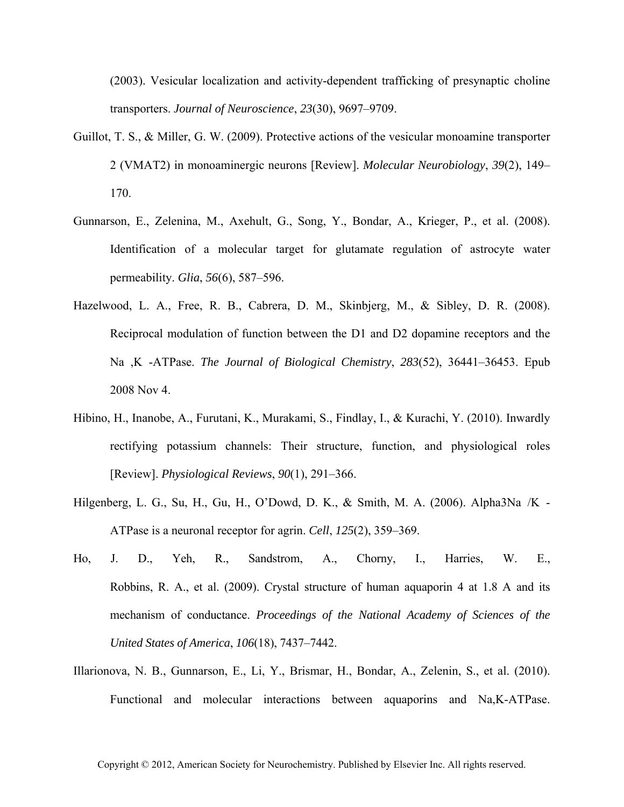(2003). Vesicular localization and activity-dependent trafficking of presynaptic choline transporters. *Journal of Neuroscience*, *23*(30), 9697–9709.

- Guillot, T. S., & Miller, G. W. (2009). Protective actions of the vesicular monoamine transporter 2 (VMAT2) in monoaminergic neurons [Review]. *Molecular Neurobiology*, *39*(2), 149– 170.
- Gunnarson, E., Zelenina, M., Axehult, G., Song, Y., Bondar, A., Krieger, P., et al. (2008). Identification of a molecular target for glutamate regulation of astrocyte water permeability. *Glia*, *56*(6), 587–596.
- Hazelwood, L. A., Free, R. B., Cabrera, D. M., Skinbjerg, M., & Sibley, D. R. (2008). Reciprocal modulation of function between the D1 and D2 dopamine receptors and the Na,K-ATPase. *The Journal of Biological Chemistry*, *283*(52), 36441–36453. Epub 2008 Nov 4.
- Hibino, H., Inanobe, A., Furutani, K., Murakami, S., Findlay, I., & Kurachi, Y. (2010). Inwardly rectifying potassium channels: Their structure, function, and physiological roles [Review]. *Physiological Reviews*, *90*(1), 291–366.
- Hilgenberg, L. G., Su, H., Gu, H., O'Dowd, D. K., & Smith, M. A. (2006). Alpha3Na/K- ATPase is a neuronal receptor for agrin. *Cell*, *125*(2), 359–369.
- Ho, J. D., Yeh, R., Sandstrom, A., Chorny, I., Harries, W. E., Robbins, R. A., et al. (2009). Crystal structure of human aquaporin 4 at 1.8 A and its mechanism of conductance. *Proceedings of the National Academy of Sciences of the United States of America*, *106*(18), 7437–7442.
- Illarionova, N. B., Gunnarson, E., Li, Y., Brismar, H., Bondar, A., Zelenin, S., et al. (2010). Functional and molecular interactions between aquaporins and Na,K-ATPase.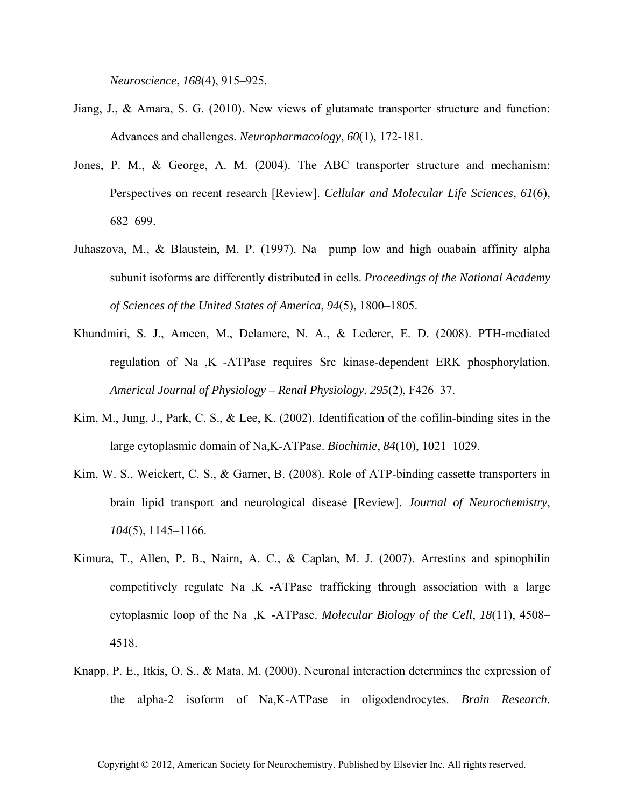*Neuroscience*, *168*(4), 915–925.

- Jiang, J., & Amara, S. G. (2010). New views of glutamate transporter structure and function: Advances and challenges. *Neuropharmacology*, *60*(1), 172-181.
- Jones, P. M., & George, A. M. (2004). The ABC transporter structure and mechanism: Perspectives on recent research [Review]. *Cellular and Molecular Life Sciences*, *61*(6), 682–699.
- Juhaszova, M., & Blaustein, M. P. (1997). Na pump low and high ouabain affinity alpha subunit isoforms are differently distributed in cells. *Proceedings of the National Academy of Sciences of the United States of America*, *94*(5), 1800–1805.
- Khundmiri, S. J., Ameen, M., Delamere, N. A., & Lederer, E. D. (2008). PTH-mediated regulation of Na,K-ATPase requires Src kinase-dependent ERK phosphorylation. *Americal Journal of Physiology – Renal Physiology*, *295*(2), F426–37.
- Kim, M., Jung, J., Park, C. S., & Lee, K. (2002). Identification of the cofilin-binding sites in the large cytoplasmic domain of Na,K-ATPase. *Biochimie*, *84*(10), 1021–1029.
- Kim, W. S., Weickert, C. S., & Garner, B. (2008). Role of ATP-binding cassette transporters in brain lipid transport and neurological disease [Review]. *Journal of Neurochemistry*, *104*(5), 1145–1166.
- Kimura, T., Allen, P. B., Nairn, A. C., & Caplan, M. J. (2007). Arrestins and spinophilin competitively regulate Na,K-ATPase trafficking through association with a large cytoplasmic loop of the Na,K-ATPase. *Molecular Biology of the Cell*, *18*(11), 4508– 4518.
- Knapp, P. E., Itkis, O. S., & Mata, M. (2000). Neuronal interaction determines the expression of the alpha-2 isoform of Na,K-ATPase in oligodendrocytes. *Brain Research.*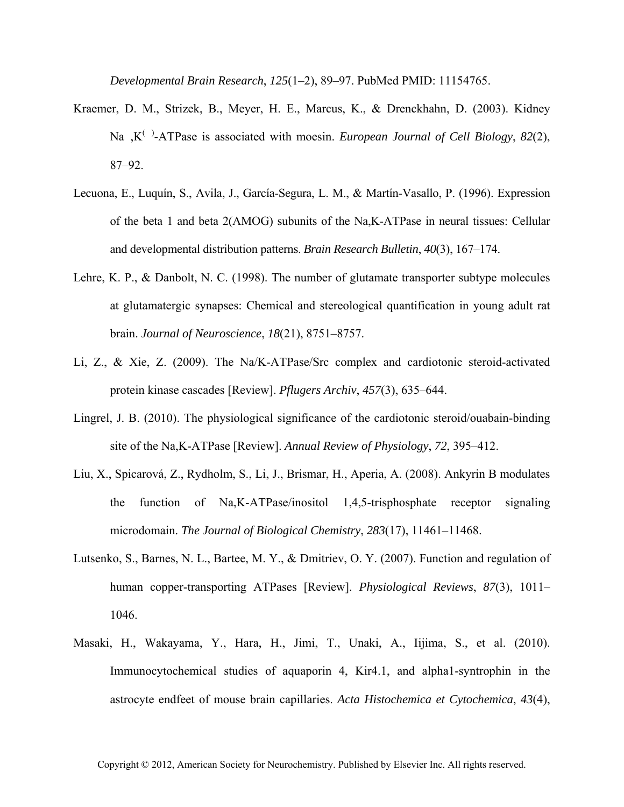*Developmental Brain Research*, *125*(1–2), 89–97. PubMed PMID: 11154765.

- Kraemer, D. M., Strizek, B., Meyer, H. E., Marcus, K., & Drenckhahn, D. (2003). Kidney Na,K()-ATPase is associated with moesin. *European Journal of Cell Biology*, *82*(2), 87–92.
- Lecuona, E., Luquín, S., Avila, J., García-Segura, L. M., & Martín-Vasallo, P. (1996). Expression of the beta 1 and beta 2(AMOG) subunits of the Na,K-ATPase in neural tissues: Cellular and developmental distribution patterns. *Brain Research Bulletin*, *40*(3), 167–174.
- Lehre, K. P., & Danbolt, N. C. (1998). The number of glutamate transporter subtype molecules at glutamatergic synapses: Chemical and stereological quantification in young adult rat brain. *Journal of Neuroscience*, *18*(21), 8751–8757.
- Li, Z., & Xie, Z. (2009). The Na/K-ATPase/Src complex and cardiotonic steroid-activated protein kinase cascades [Review]. *Pflugers Archiv*, *457*(3), 635–644.
- Lingrel, J. B. (2010). The physiological significance of the cardiotonic steroid/ouabain-binding site of the Na,K-ATPase [Review]. *Annual Review of Physiology*, *72*, 395–412.
- Liu, X., Spicarová, Z., Rydholm, S., Li, J., Brismar, H., Aperia, A. (2008). Ankyrin B modulates the function of Na,K-ATPase/inositol 1,4,5-trisphosphate receptor signaling microdomain. *The Journal of Biological Chemistry*, *283*(17), 11461–11468.
- Lutsenko, S., Barnes, N. L., Bartee, M. Y., & Dmitriev, O. Y. (2007). Function and regulation of human copper-transporting ATPases [Review]. *Physiological Reviews*, *87*(3), 1011– 1046.
- Masaki, H., Wakayama, Y., Hara, H., Jimi, T., Unaki, A., Iijima, S., et al. (2010). Immunocytochemical studies of aquaporin 4, Kir4.1, and alpha1-syntrophin in the astrocyte endfeet of mouse brain capillaries. *Acta Histochemica et Cytochemica*, *43*(4),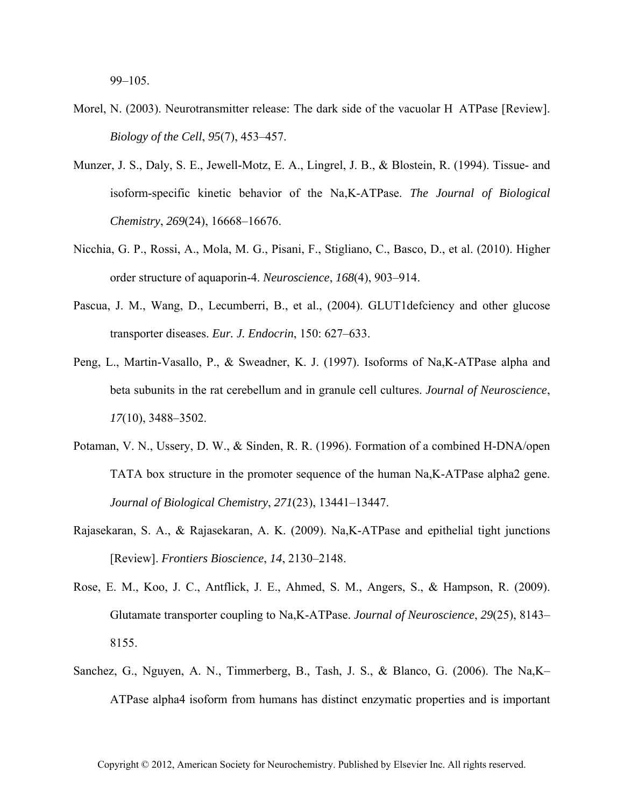99–105.

- Morel, N. (2003). Neurotransmitter release: The dark side of the vacuolar HATPase [Review]. *Biology of the Cell*, *95*(7), 453–457.
- Munzer, J. S., Daly, S. E., Jewell-Motz, E. A., Lingrel, J. B., & Blostein, R. (1994). Tissue- and isoform-specific kinetic behavior of the Na,K-ATPase. *The Journal of Biological Chemistry*, *269*(24), 16668–16676.
- Nicchia, G. P., Rossi, A., Mola, M. G., Pisani, F., Stigliano, C., Basco, D., et al. (2010). Higher order structure of aquaporin-4. *Neuroscience*, *168*(4), 903–914.
- Pascua, J. M., Wang, D., Lecumberri, B., et al., (2004). GLUT1defciency and other glucose transporter diseases. *Eur. J. Endocrin*, 150: 627–633.
- Peng, L., Martin-Vasallo, P., & Sweadner, K. J. (1997). Isoforms of Na,K-ATPase alpha and beta subunits in the rat cerebellum and in granule cell cultures. *Journal of Neuroscience*, *17*(10), 3488–3502.
- Potaman, V. N., Ussery, D. W., & Sinden, R. R. (1996). Formation of a combined H-DNA/open TATA box structure in the promoter sequence of the human Na,K-ATPase alpha2 gene. *Journal of Biological Chemistry*, *271*(23), 13441–13447.
- Rajasekaran, S. A., & Rajasekaran, A. K. (2009). Na,K-ATPase and epithelial tight junctions [Review]. *Frontiers Bioscience*, *14*, 2130–2148.
- Rose, E. M., Koo, J. C., Antflick, J. E., Ahmed, S. M., Angers, S., & Hampson, R. (2009). Glutamate transporter coupling to Na,K-ATPase. *Journal of Neuroscience*, *29*(25), 8143– 8155.
- Sanchez, G., Nguyen, A. N., Timmerberg, B., Tash, J. S., & Blanco, G. (2006). The Na,K– ATPase alpha4 isoform from humans has distinct enzymatic properties and is important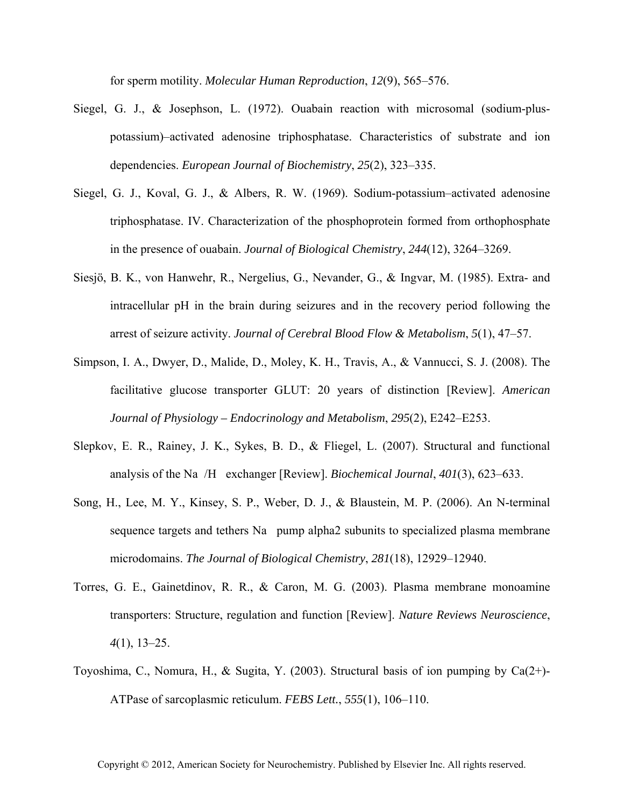for sperm motility. *Molecular Human Reproduction*, *12*(9), 565–576.

- Siegel, G. J., & Josephson, L. (1972). Ouabain reaction with microsomal (sodium-pluspotassium)–activated adenosine triphosphatase. Characteristics of substrate and ion dependencies. *European Journal of Biochemistry*, *25*(2), 323–335.
- Siegel, G. J., Koval, G. J., & Albers, R. W. (1969). Sodium-potassium–activated adenosine triphosphatase. IV. Characterization of the phosphoprotein formed from orthophosphate in the presence of ouabain. *Journal of Biological Chemistry*, *244*(12), 3264–3269.
- Siesjö, B. K., von Hanwehr, R., Nergelius, G., Nevander, G., & Ingvar, M. (1985). Extra- and intracellular pH in the brain during seizures and in the recovery period following the arrest of seizure activity. *Journal of Cerebral Blood Flow & Metabolism*, *5*(1), 47–57.
- Simpson, I. A., Dwyer, D., Malide, D., Moley, K. H., Travis, A., & Vannucci, S. J. (2008). The facilitative glucose transporter GLUT: 20 years of distinction [Review]. *American Journal of Physiology – Endocrinology and Metabolism*, *295*(2), E242–E253.
- Slepkov, E. R., Rainey, J. K., Sykes, B. D., & Fliegel, L. (2007). Structural and functional analysis of the Na/H exchanger [Review]. *Biochemical Journal*, *401*(3), 623–633.
- Song, H., Lee, M. Y., Kinsey, S. P., Weber, D. J., & Blaustein, M. P. (2006). An N-terminal sequence targets and tethers Na pump alpha2 subunits to specialized plasma membrane microdomains. *The Journal of Biological Chemistry*, *281*(18), 12929–12940.
- Torres, G. E., Gainetdinov, R. R., & Caron, M. G. (2003). Plasma membrane monoamine transporters: Structure, regulation and function [Review]. *Nature Reviews Neuroscience*, *4*(1), 13–25.
- Toyoshima, C., Nomura, H., & Sugita, Y. (2003). Structural basis of ion pumping by Ca(2+)- ATPase of sarcoplasmic reticulum. *FEBS Lett.*, *555*(1), 106–110.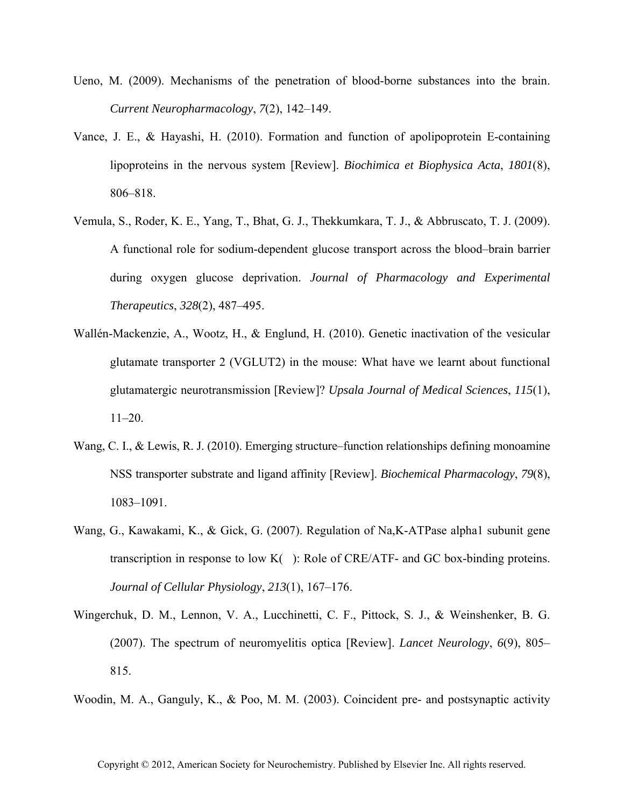- Ueno, M. (2009). Mechanisms of the penetration of blood-borne substances into the brain. *Current Neuropharmacology*, *7*(2), 142–149.
- Vance, J. E., & Hayashi, H. (2010). Formation and function of apolipoprotein E-containing lipoproteins in the nervous system [Review]. *Biochimica et Biophysica Acta*, *1801*(8), 806–818.
- Vemula, S., Roder, K. E., Yang, T., Bhat, G. J., Thekkumkara, T. J., & Abbruscato, T. J. (2009). A functional role for sodium-dependent glucose transport across the blood–brain barrier during oxygen glucose deprivation. *Journal of Pharmacology and Experimental Therapeutics*, *328*(2), 487–495.
- Wallén-Mackenzie, A., Wootz, H., & Englund, H. (2010). Genetic inactivation of the vesicular glutamate transporter 2 (VGLUT2) in the mouse: What have we learnt about functional glutamatergic neurotransmission [Review]? *Upsala Journal of Medical Sciences*, *115*(1), 11–20.
- Wang, C. I., & Lewis, R. J. (2010). Emerging structure–function relationships defining monoamine NSS transporter substrate and ligand affinity [Review]. *Biochemical Pharmacology*, *79*(8), 1083–1091.
- Wang, G., Kawakami, K., & Gick, G. (2007). Regulation of Na,K-ATPase alpha1 subunit gene transcription in response to low K(): Role of CRE/ATF- and GC box-binding proteins. *Journal of Cellular Physiology*, *213*(1), 167–176.
- Wingerchuk, D. M., Lennon, V. A., Lucchinetti, C. F., Pittock, S. J., & Weinshenker, B. G. (2007). The spectrum of neuromyelitis optica [Review]. *Lancet Neurology*, *6*(9), 805– 815.

Woodin, M. A., Ganguly, K., & Poo, M. M. (2003). Coincident pre- and postsynaptic activity